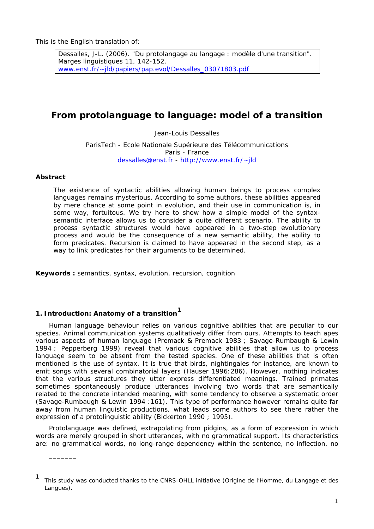Dessalles, J-L. (2006). "Du protolangage au langage : modèle d'une transition". *Marges linguistiques* 11, 142-152. www.enst.fr/~jld/papiers/pap.evol/Dessalles\_03071803.pdf

# **From protolanguage to language: model of a transition**

Jean-Louis Dessalles

ParisTech - Ecole Nationale Supérieure des Télécommunications Paris - France dessalles@enst.fr - http://www.enst.fr/~jld

# **Abstract**

\_\_\_\_\_\_\_

*The existence of syntactic abilities allowing human beings to process complex languages remains mysterious. According to some authors, these abilities appeared by mere chance at some point in evolution, and their use in communication is, in some way, fortuitous. We try here to show how a simple model of the syntaxsemantic interface allows us to consider a quite different scenario. The ability to process syntactic structures would have appeared in a two-step evolutionary process and would be the consequence of a new semantic ability, the ability to form predicates. Recursion is claimed to have appeared in the second step, as a way to link predicates for their arguments to be determined.* 

**Keywords :** semantics, syntax, evolution, recursion, cognition

# **1. Introduction: Anatomy of a transition1**

Human language behaviour relies on various cognitive abilities that are peculiar to our species. Animal communication systems qualitatively differ from ours. Attempts to teach apes various aspects of human language (Premack & Premack 1983 ; Savage-Rumbaugh & Lewin 1994 ; Pepperberg 1999) reveal that various cognitive abilities that allow us to process language seem to be absent from the tested species. One of these abilities that is often mentioned is the use of syntax. It is true that birds, nightingales for instance, are known to emit songs with several combinatorial layers (Hauser 1996:286). However, nothing indicates that the various structures they utter express differentiated meanings. Trained primates sometimes spontaneously produce utterances involving two words that are semantically related to the concrete intended meaning, with some tendency to observe a systematic order (Savage-Rumbaugh & Lewin 1994 :161). This type of performance however remains quite far away from human linguistic productions, what leads some authors to see there rather the expression of a protolinguistic ability (Bickerton 1990 ; 1995).

Protolanguage was defined, extrapolating from pidgins, as a form of expression in which words are merely grouped in short utterances, with no grammatical support. Its characteristics are: no grammatical words, no long-range dependency within the sentence, no inflection, no

<sup>1</sup> This study was conducted thanks to the CNRS-OHLL initiative (Origine de l'Homme, du Langage et des Langues).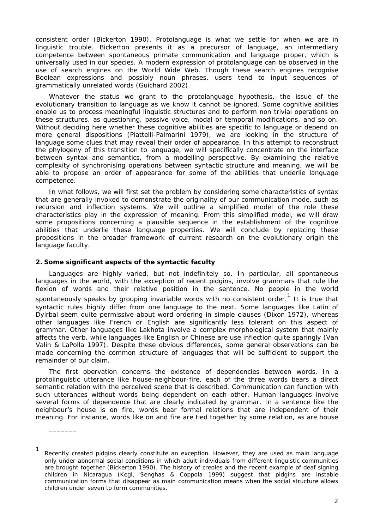consistent order (Bickerton 1990). Protolanguage is what we settle for when we are in linguistic trouble. Bickerton presents it as a precursor of language, an intermediary competence between spontaneous primate communication and language proper, which is universally used in our species. A modern expression of protolanguage can be observed in the use of search engines on the World Wide Web. Though these search engines recognise Boolean expressions and possibly noun phrases, users tend to input sequences of grammatically unrelated words (Guichard 2002).

Whatever the status we grant to the protolanguage hypothesis, the issue of the evolutionary transition to language as we know it cannot be ignored. Some cognitive abilities enable us to process meaningful linguistic structures and to perform non trivial operations on these structures, as questioning, passive voice, modal or temporal modifications, and so on. Without deciding here whether these cognitive abilities are specific to language or depend on more general dispositions (Piattelli-Palmarini 1979), we are looking in the structure of language some clues that may reveal their order of appearance. In this attempt to reconstruct the phylogeny of this transition to language, we will specifically concentrate on the interface between syntax and semantics, from a modelling perspective. By examining the relative complexity of synchronising operations between syntactic structure and meaning, we will be able to propose an order of appearance for some of the abilities that underlie language competence.

In what follows, we will first set the problem by considering some characteristics of syntax that are generally invoked to demonstrate the originality of our communication mode, such as recursion and inflection systems. We will outline a simplified model of the role these characteristics play in the expression of meaning. From this simplified model, we will draw some propositions concerning a plausible sequence in the establishment of the cognitive abilities that underlie these language properties. We will conclude by replacing these propositions in the broader framework of current research on the evolutionary origin the language faculty.

#### **2. Some significant aspects of the syntactic faculty**

\_\_\_\_\_\_\_

Languages are highly varied, but not indefinitely so. In particular, all spontaneous languages in the world, with the exception of recent pidgins, involve grammars that rule the flexion of words and their relative position in the sentence. No people in the world spontaneously speaks by grouping invariable words with no consistent order.<sup>1</sup> It is true that syntactic rules highly differ from one language to the next. Some languages like Latin of Dyirbal seem quite permissive about word ordering in simple clauses (Dixon 1972), whereas other languages like French or English are significantly less tolerant on this aspect of grammar. Other languages like Lakhota involve a complex morphological system that mainly affects the verb, while languages like English or Chinese are use inflection quite sparingly (Van Valin & LaPolla 1997). Despite these obvious differences, some general observations can be made concerning the common structure of languages that will be sufficient to support the remainder of our claim.

The first obervation concerns the existence of dependencies between words. In a protolinguistic utterance like *house-neighbour-fire*, each of the three words bears a direct semantic relation with the perceived scene that is described. Communication can function with such utterances without words being dependent on each other. Human languages involve several forms of dependence that are clearly indicated by grammar. In a sentence like *the neighbour's house is on fire*, words bear formal relations that are independent of their meaning. For instance, words like *on* and *fire* are tied together by some relation, as are *house*

<sup>1</sup> Recently created pidgins clearly constitute an exception. However, they are used as main language only under abnormal social conditions in which adult individuals from different linguistic communities are brought together (Bickerton 1990). The history of creoles and the recent example of deaf signing children in Nicaragua (Kegl, Senghas & Coppola 1999) suggest that pidgins are instable communication forms that disappear as main communication means when the social structure allows children under seven to form communities.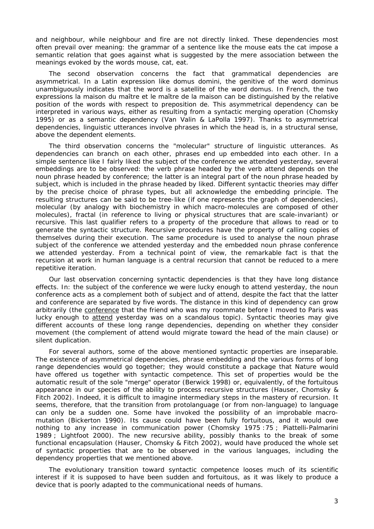and *neighbour*, while *neighbour* and *fire* are not directly linked. These dependencies most often prevail over meaning: the grammar of a sentence like *the mouse eats the cat* impose a semantic relation that goes against what is suggested by the mere association between the meanings evoked by the words *mouse*, *cat*, *eat*.

The second observation concerns the fact that grammatical dependencies are asymmetrical. In a Latin expression like *domus domini*, the genitive of the word *dominus* unambiguously indicates that the word is a satellite of the word *domus*. In French, the two expressions *la maison du maître* et *le maître de la maison* can be distinguished by the relative position of the words with respect to preposition *de*. This asymmetrical dependency can be interpreted in various ways, either as resulting from a syntactic merging operation (Chomsky 1995) or as a semantic dependency (Van Valin & LaPolla 1997). Thanks to asymmetrical dependencies, linguistic utterances involve phrases in which the head is, in a structural sense, above the dependent elements.

The third observation concerns the "molecular" structure of linguistic utterances. As dependencies can branch on each other, phrases end up embedded into each other. In a simple sentence like *I fairly liked the subject of the conference we attended yesterday*, several embeddings are to be observed: the verb phrase headed by the verb *attend* depends on the noun phrase headed by *conference*; the latter is an integral part of the noun phrase headed by *subject*, which is included in the phrase headed by *liked*. Different syntactic theories may differ by the precise choice of phrase types, but all acknowledge the embedding principle. The resulting structures can be said to be tree-like (if one represents the graph of dependencies), molecular (by analogy with biochemistry in which macro-molecules are composed of other molecules), fractal (in reference to living or physical structures that are scale-invariant) or recursive. This last qualifier refers to a property of the procedure that allows to read or to generate the syntactic structure. Recursive procedures have the property of calling copies of themselves during their execution. The same procedure is used to analyse the noun phrase *subject of the conference we attended yesterday* and the embedded noun phrase *conference we attended yesterday*. From a technical point of view, the remarkable fact is that the recursion at work in human language is a central recursion that cannot be reduced to a mere repetitive iteration.

Our last observation concerning syntactic dependencies is that they have long distance effects. In: *the subject of the conference we were lucky enough to attend yesterday*, the noun *conference* acts as a complement both of *subject* and of *attend*, despite the fact that the latter and *conference* are separated by five words. The distance in this kind of dependency can grow arbitrarily (*the conference that the friend who was my roommate before I moved to Paris was lucky enough to attend yesterday was on a scandalous topic*). Syntactic theories may give different accounts of these long range dependencies, depending on whether they consider movement (the complement of *attend* would migrate toward the head of the main clause) or silent duplication.

For several authors, some of the above mentioned syntactic properties are inseparable. The existence of asymmetrical dependencies, phrase embedding and the various forms of long range dependencies would go together; they would constitute a package that Nature would have offered us together with syntactic competence. This set of properties would be the automatic result of the sole "merge" operator (Berwick 1998) or, equivalently, of the fortuitous appearance in our species of the ability to process recursive structures (Hauser, Chomsky & Fitch 2002). Indeed, it is difficult to imagine intermediary steps in the mastery of recursion. It seems, therefore, that the transition from protolanguage (or from non-language) to language can only be a sudden one. Some have invoked the possibility of an improbable macromutation (Bickerton 1990). Its cause could have been fully fortuitous, and it would owe nothing to any increase in communication power (Chomsky 1975 :75 ; Piattelli-Palmarini 1989 ; Lightfoot 2000). The new recursive ability, possibly thanks to the break of some functional encapsulation (Hauser, Chomsky & Fitch 2002), would have produced the whole set of syntactic properties that are to be observed in the various languages, including the dependency properties that we mentioned above.

The evolutionary transition toward syntactic competence looses much of its scientific interest if it is supposed to have been sudden and fortuitous, as it was likely to produce a device that is poorly adapted to the communicational needs of humans.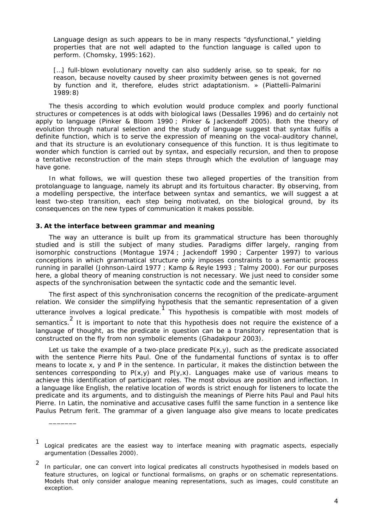Language design as such appears to be in many respects "dysfunctional," yielding properties that are not well adapted to the function language is called upon to perform. (Chomsky, 1995:162).

[...] full-blown evolutionary novelty can also suddenly arise, so to speak, for no reason, because novelty caused by sheer proximity between genes is not governed by function and it, therefore, eludes strict adaptationism. » (Piattelli-Palmarini 1989:8)

The thesis according to which evolution would produce complex and poorly functional structures or competences is at odds with biological laws (Dessalles 1996) and do certainly not apply to language (Pinker & Bloom 1990 ; Pinker & Jackendoff 2005). Both the theory of evolution through natural selection and the study of language suggest that syntax fulfils a definite function, which is to serve the expression of meaning on the vocal-auditory channel, and that its structure is an evolutionary consequence of this function. It is thus legitimate to wonder which function is carried out by syntax, and especially recursion, and then to propose a tentative reconstruction of the main steps through which the evolution of language may have gone.

In what follows, we will question these two alleged properties of the transition from protolanguage to language, namely its abrupt and its fortuitous character. By observing, from a modelling perspective, the interface between syntax and semantics, we will suggest a at least two-step transition, each step being motivated, on the biological ground, by its consequences on the new types of communication it makes possible.

## **3. At the interface between grammar and meaning**

\_\_\_\_\_\_\_

The way an utterance is built up from its grammatical structure has been thoroughly studied and is still the subject of many studies. Paradigms differ largely, ranging from isomorphic constructions (Montague 1974 ; Jackendoff 1990 ; Carpenter 1997) to various conceptions in which grammatical structure only imposes constraints to a semantic process running in parallel (Johnson-Laird 1977 ; Kamp & Reyle 1993 ; Talmy 2000). For our purposes here, a global theory of meaning construction is not necessary. We just need to consider some aspects of the synchronisation between the syntactic code and the semantic level.

The first aspect of this synchronisation concerns the recognition of the predicate-argument relation. We consider the simplifying hypothesis that the semantic representation of a given utterance involves a logical predicate. This hypothesis is compatible with most models of semantics.<sup>2</sup> It is important to note that this hypothesis does not require the existence of a language of thought, as the predicate in question can be a transitory representation that is constructed on the fly from non symbolic elements (Ghadakpour 2003).

Let us take the example of a two-place predicate  $P(x, y)$ , such as the predicate associated with the sentence *Pierre hits Paul*. One of the fundamental functions of syntax is to offer means to locate *x*, *y* and *P* in the sentence. In particular, it makes the distinction between the sentences corresponding to  $P(x, y)$  and  $P(y, x)$ . Languages make use of various means to achieve this identification of participant roles. The most obvious are position and inflection. In a language like English, the relative location of words is strict enough for listeners to locate the predicate and its arguments, and to distinguish the meanings of *Pierre hits Paul* and *Paul hits Pierre*. In Latin, the nominative and accusative cases fulfil the same function in a sentence like *Paulus Petrum ferit*. The grammar of a given language also give means to locate predicates

<sup>1</sup> Logical predicates are the easiest way to interface meaning with pragmatic aspects, especially argumentation (Dessalles 2000).

<sup>2</sup> In particular, one can convert into logical predicates all constructs hypothesised in models based on feature structures, on logical or functional formalisms, on graphs or on schematic representations. Models that only consider analogue meaning representations, such as images, could constitute an exception.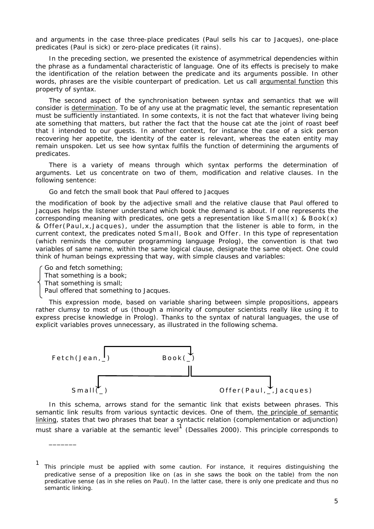and arguments in the case three-place predicates (*Paul sells his car to Jacques*), one-place predicates (*Paul is sick*) or zero-place predicates (*it rains*).

In the preceding section, we presented the existence of asymmetrical dependencies within the phrase as a fundamental characteristic of language. One of its effects is precisely to make the identification of the relation between the predicate and its arguments possible. In other words, phrases are the visible counterpart of predication. Let us call argumental function this property of syntax.

The second aspect of the synchronisation between syntax and semantics that we will consider is determination. To be of any use at the pragmatic level, the semantic representation must be sufficiently instantiated. In some contexts, it is not the fact that whatever living being ate something that matters, but rather the fact that the house cat ate the joint of roast beef that I intended to our guests. In another context, for instance the case of a sick person recovering her appetite, the identity of the eater is relevant, whereas the eaten entity may remain unspoken. Let us see how syntax fulfils the function of determining the arguments of predicates.

There is a variety of means through which syntax performs the determination of arguments. Let us concentrate on two of them, modification and relative clauses. In the following sentence:

#### *Go and fetch the small book that Paul offered to Jacques*

the modification of *book* by the adjective *small* and the relative clause *that Paul offered to Jacques* helps the listener understand which book the demand is about. If one represents the corresponding meaning with predicates, one gets a representation like *Small(x) & Book(x) & O f fer(Paul ,x ,Jacques)*, under the assumption that the listener is able to form, in the current context, the predicates noted *Small*, *Book* and *Offer*. In this type of representation (which reminds the computer programming language Prolog), the convention is that two variables of same name, within the same logical clause, designate the same object. One could think of human beings expressing that way, with simple clauses and variables:

*Go and fetch something; That something is a book; That something is small;* 

\_\_\_\_\_\_\_

*Paul offered that something to Jacques.* 

This expression mode, based on variable sharing between simple propositions, appears rather clumsy to most of us (though a minority of computer scientists really like using it to express precise knowledge in Prolog). Thanks to the syntax of natural languages, the use of explicit variables proves unnecessary, as illustrated in the following schema.



In this schema, arrows stand for the semantic link that exists between phrases. This semantic link results from various syntactic devices. One of them, the principle of semantic linking, states that two phrases that bear a syntactic relation (complementation or adjunction) must share a variable at the semantic level<sup>1</sup> (Dessalles 2000). This principle corresponds to

<sup>1</sup> This principle must be applied with some caution. For instance, it requires distinguishing the predicative sense of a preposition like *on* (as in *she saws the book on the table*) from the non predicative sense (as in *she relies on Paul*). In the latter case, there is only one predicate and thus no semantic linking.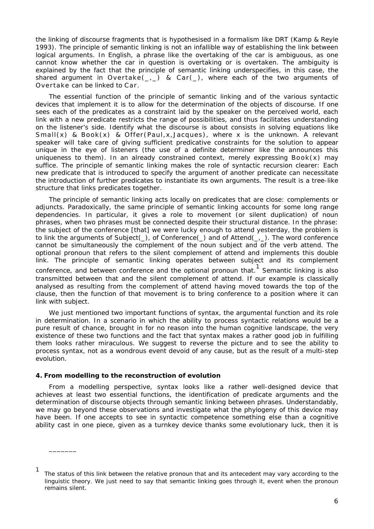the linking of discourse fragments that is hypothesised in a formalism like DRT (Kamp & Reyle 1993). The principle of semantic linking is not an infallible way of establishing the link between logical arguments. In English, a phrase like *the overtaking of the car* is ambiguous, as one cannot know whether the car in question is overtaking or is overtaken. The ambiguity is explained by the fact that the principle of semantic linking underspecifies, in this case, the shared argument in *Overtake(\_,\_) & Car(\_)*, where each of the two arguments of *Overtake* can be linked to *Car*.

The essential function of the principle of semantic linking and of the various syntactic devices that implement it is to allow for the determination of the objects of discourse. If one sees each of the predicates as a constraint laid by the speaker on the perceived world, each link with a new predicate restricts the range of possibilities, and thus facilitates understanding on the listener's side. Identify what the discourse is about consists in solving equations like *Small(x) & Book(x) & Offer(Paul,x, Jacques), where x is the unknown.* A relevant speaker will take care of giving sufficient predicative constraints for the solution to appear unique in the eye of listeners (the use of a definite determiner like *the* announces this uniqueness to them). In an already constrained context, merely expressing *Book(x)* may suffice. The principle of semantic linking makes the role of syntactic recursion clearer: Each new predicate that is introduced to specify the argument of another predicate can necessitate the introduction of further predicates to instantiate its own arguments. The result is a tree-like structure that links predicates together.

The principle of semantic linking acts locally on predicates that are close: complements or adjuncts. Paradoxically, the same principle of semantic linking accounts for some long range dependencies. In particular, it gives a role to movement (or silent duplication) of noun phrases, when two phrases must be connected despite their structural distance. In the phrase: *the subject of the conference [that] we were lucky enough to attend yesterday*, the problem is to link the arguments of *Subject(\_)*, of *Conference(\_)* and of *Attend(\_,\_)*. The word *conference* cannot be simultaneously the complement of the noun *subject* and of the verb *attend*. The optional pronoun *that* refers to the silent complement of *attend* and implements this double link. The principle of semantic linking operates between *subject* and its complement *conference*, and between *conference* and the optional pronoun *that*. 1 Semantic linking is also transmitted between *that* and the silent complement of *attend*. If our example is classically analysed as resulting from the complement of *attend* having moved towards the top of the clause, then the function of that movement is to bring *conference* to a position where it can link with *subject*.

We just mentioned two important functions of syntax, the argumental function and its role in determination. In a scenario in which the ability to process syntactic relations would be a pure result of chance, brought in for no reason into the human cognitive landscape, the very existence of these two functions and the fact that syntax makes a rather good job in fulfilling them looks rather miraculous. We suggest to reverse the picture and to see the ability to process syntax, not as a wondrous event devoid of any cause, but as the result of a multi-step evolution.

#### **4. From modelling to the reconstruction of evolution**

\_\_\_\_\_\_\_

From a modelling perspective, syntax looks like a rather well-designed device that achieves at least two essential functions, the identification of predicate arguments and the determination of discourse objects through semantic linking between phrases. Understandably, we may go beyond these observations and investigate what the phylogeny of this device may have been. If one accepts to see in syntactic competence something else than a cognitive ability cast in one piece, given as a turnkey device thanks some evolutionary luck, then it is

<sup>1</sup> The status of this link between the relative pronoun *that* and its antecedent may vary according to the linguistic theory. We just need to say that semantic linking goes through it, event when the pronoun remains silent.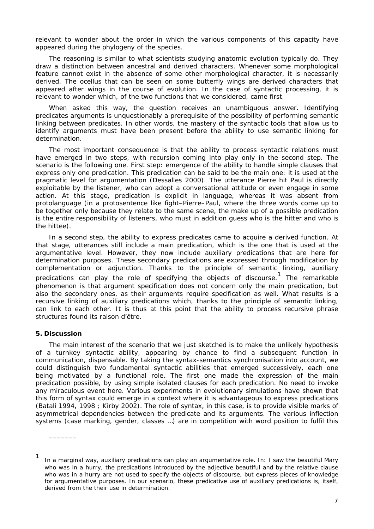relevant to wonder about the order in which the various components of this capacity have appeared during the phylogeny of the species.

The reasoning is similar to what scientists studying anatomic evolution typically do. They draw a distinction between ancestral and derived characters. Whenever some morphological feature cannot exist in the absence of some other morphological character, it is necessarily derived. The ocellus that can be seen on some butterfly wings are derived characters that appeared after wings in the course of evolution. In the case of syntactic processing, it is relevant to wonder which, of the two functions that we considered, came first.

When asked this way, the question receives an unambiguous answer. Identifying predicates arguments is unquestionably a prerequisite of the possibility of performing semantic linking between predicates. In other words, the mastery of the syntactic tools that allow us to identify arguments *must have been present before* the ability to use semantic linking for determination.

The most important consequence is that the ability to process syntactic relations must have emerged in two steps, *with recursion coming into play only in the second step*. The scenario is the following one. First step: emergence of the ability to handle simple clauses that express only one predication. This predication can be said to be the main one: it is used at the pragmatic level for argumentation (Dessalles 2000). The utterance *Pierre hit Paul* is directly exploitable by the listener, who can adopt a conversational attitude or even engage in some action. At this stage, predication is explicit in language, whereas it was absent from protolanguage (in a protosentence like *fight–Pierre–Paul*, where the three words come up to be together only because they relate to the same scene, the make up of a possible predication is the entire responsibility of listeners, who must in addition guess who is the hitter and who is the hittee).

In a second step, the ability to express predicates came to acquire a derived function. At that stage, utterances still include a main predication, which is the one that is used at the argumentative level. However, they now include auxiliary predications that are here for determination purposes. These secondary predications are expressed through modification by complementation or adjunction. Thanks to the principle of semantic linking, auxiliary predications can play the role of specifying the objects of discourse.<sup>1</sup> The remarkable phenomenon is that argument specification does not concern only the main predication, but also the secondary ones, as their arguments require specification as well. What results is a recursive linking of auxiliary predications which, thanks to the principle of semantic linking, can link to each other. It is thus at this point that the ability to process recursive phrase structures found its raison d'être.

# **5. Discussion**

\_\_\_\_\_\_\_

The main interest of the scenario that we just sketched is to make the unlikely hypothesis of a turnkey syntactic ability, appearing by chance to find a subsequent function in communication, dispensable. By taking the syntax-semantics synchronisation into account, we could distinguish two fundamental syntactic abilities that emerged successively, each one being motivated by a functional role. The first one made the expression of the main predication possible, by using simple isolated clauses for each predication. No need to invoke any miraculous event here. Various experiments in evolutionary simulations have shown that this form of syntax could emerge in a context where it is advantageous to express predications (Batali 1994, 1998 ; Kirby 2002). The role of syntax, in this case, is to provide visible marks of asymmetrical dependencies between the predicate and its arguments. The various inflection systems (case marking, gender, classes …) are in competition with word position to fulfil this

<sup>1</sup> In a marginal way, auxiliary predications can play an argumentative role. In: *I saw the beautiful Mary who was in a hurry*, the predications introduced by the adjective *beautiful* and by the relative clause *who was in a hurry* are not used to specify the objects of discourse, but express pieces of knowledge for argumentative purposes. In our scenario, these predicative use of auxiliary predications is, itself, derived from the their use in determination.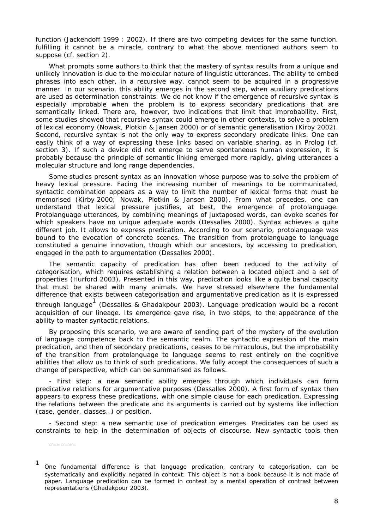function (Jackendoff 1999 ; 2002). If there are two competing devices for the same function, fulfilling it cannot be a miracle, contrary to what the above mentioned authors seem to suppose (cf. section 2).

What prompts some authors to think that the mastery of syntax results from a unique and unlikely innovation is due to the molecular nature of linguistic utterances. The ability to embed phrases into each other, in a recursive way, cannot seem to be acquired in a progressive manner. In our scenario, this ability emerges in the second step, when auxiliary predications are used as determination constraints. We do not know if the emergence of recursive syntax is especially improbable when the problem is to express secondary predications that are semantically linked. There are, however, two indications that limit that improbability. First, some studies showed that recursive syntax could emerge in other contexts, to solve a problem of lexical economy (Nowak, Plotkin & Jansen 2000) or of semantic generalisation (Kirby 2002). Second, recursive syntax is not the only way to express secondary predicate links. One can easily think of a way of expressing these links based on variable sharing, as in Prolog (cf. section 3). If such a device did not emerge to serve spontaneous human expression, it is probably because the principle of semantic linking emerged more rapidly, giving utterances a molecular structure and long range dependencies.

Some studies present syntax as an innovation whose purpose was to solve the problem of heavy lexical pressure. Facing the increasing number of meanings to be communicated, syntactic combination appears as a way to limit the number of lexical forms that must be memorised (Kirby 2000; Nowak, Plotkin & Jansen 2000). From what precedes, one can understand that lexical pressure justifies, at best, the emergence of protolanguage. Protolanguage utterances, by combining meanings of juxtaposed words, can evoke scenes for which speakers have no unique adequate words (Dessalles 2000). Syntax achieves a quite different job. It allows to express predication. According to our scenario, protolanguage was bound to the evocation of concrete scenes. The transition from protolanguage to language constituted a genuine innovation, though which our ancestors, by accessing to predication, engaged in the path to argumentation (Dessalles 2000).

The semantic capacity of predication has often been reduced to the activity of categorisation, which requires establishing a relation between a located object and a set of properties (Hurford 2003). Presented in this way, predication looks like a quite banal capacity that must be shared with many animals. We have stressed elsewhere the fundamental difference that exists between categorisation and argumentative predication as it is expressed through language<sup>1</sup> (Dessalles & Ghadakpour 2003). Language predication would be a recent acquisition of our lineage. Its emergence gave rise, in two steps, to the appearance of the ability to master syntactic relations.

By proposing this scenario, we are aware of sending part of the mystery of the evolution of language competence back to the semantic realm. The syntactic expression of the main predication, and then of secondary predications, ceases to be miraculous, but the improbability of the transition from protolanguage to language seems to rest entirely on the cognitive abilities that allow us to think of such predications. We fully accept the consequences of such a change of perspective, which can be summarised as follows.

- First step: a new semantic ability emerges through which individuals can form predicative relations for argumentative purposes (Dessalles 2000). A first form of syntax then appears to express these predications, with one simple clause for each predication. Expressing the relations between the predicate and its arguments is carried out by systems like inflection (case, gender, classes…) or position.

- Second step: a new semantic use of predication emerges. Predicates can be used as constraints to help in the determination of objects of discourse. New syntactic tools then

\_\_\_\_\_\_\_

<sup>1</sup> One fundamental difference is that language predication, contrary to categorisation, can be systematically and explicitly negated in context: *This object is not a book because it is not made of paper*. Language predication can be formed in context by a *mental operation of contrast* between representations (Ghadakpour 2003).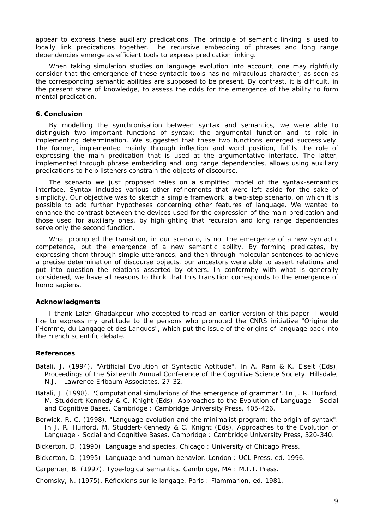appear to express these auxiliary predications. The principle of semantic linking is used to locally link predications together. The recursive embedding of phrases and long range dependencies emerge as efficient tools to express predication linking.

When taking simulation studies on language evolution into account, one may rightfully consider that the emergence of these syntactic tools has no miraculous character, as soon as the corresponding semantic abilities are supposed to be present. By contrast, it is difficult, in the present state of knowledge, to assess the odds for the emergence of the ability to form mental predication.

#### **6. Conclusion**

By modelling the synchronisation between syntax and semantics, we were able to distinguish two important functions of syntax: the argumental function and its role in implementing determination. We suggested that these two functions emerged successively. The former, implemented mainly through inflection and word position, fulfils the role of expressing the main predication that is used at the argumentative interface. The latter, implemented through phrase embedding and long range dependencies, allows using auxiliary predications to help listeners constrain the objects of discourse.

The scenario we just proposed relies on a simplified model of the syntax-semantics interface. Syntax includes various other refinements that were left aside for the sake of simplicity. Our objective was to sketch a simple framework, a two-step scenario, on which it is possible to add further hypotheses concerning other features of language. We wanted to enhance the contrast between the devices used for the expression of the main predication and those used for auxiliary ones, by highlighting that recursion and long range dependencies serve only the second function.

What prompted the transition, in our scenario, is not the emergence of a new syntactic competence, but the emergence of a new semantic ability. By forming predicates, by expressing them through simple utterances, and then through molecular sentences to achieve a precise determination of discourse objects, our ancestors were able to assert relations and put into question the relations asserted by others. In conformity with what is generally considered, we have all reasons to think that this transition corresponds to the emergence of *homo sapiens*.

## **Acknowledgments**

I thank Laleh Ghadakpour who accepted to read an earlier version of this paper. I would like to express my gratitude to the persons who promoted the CNRS initiative "Origine de l'Homme, du Langage et des Langues", which put the issue of the origins of language back into the French scientific debate.

#### **References**

- Batali, J. (1994). "Artificial Evolution of Syntactic Aptitude". In A. Ram & K. Eiselt (Eds), *Proceedings of the Sixteenth Annual Conference of the Cognitive Science Society*. Hillsdale, N.J. : Lawrence Erlbaum Associates, 27-32.
- Batali, J. (1998). "Computational simulations of the emergence of grammar". In J. R. Hurford, M. Studdert-Kennedy & C. Knight (Eds), *Approaches to the Evolution of Language - Social and Cognitive Bases*. Cambridge : Cambridge University Press, 405-426.
- Berwick, R. C. (1998). "Language evolution and the minimalist program: the origin of syntax". In J. R. Hurford, M. Studdert-Kennedy & C. Knight (Eds), *Approaches to the Evolution of Language - Social and Cognitive Bases*. Cambridge : Cambridge University Press, 320-340.

Bickerton, D. (1990). *Language and species*. Chicago : University of Chicago Press.

Bickerton, D. (1995). *Language and human behavior*. London : UCL Press, ed. 1996.

Carpenter, B. (1997). *Type-logical semantics*. Cambridge, MA : M.I.T. Press.

Chomsky, N. (1975). *Réflexions sur le langage*. Paris : Flammarion, ed. 1981.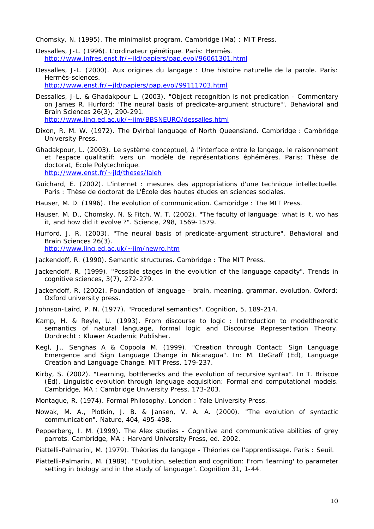Chomsky, N. (1995). *The minimalist program*. Cambridge (Ma) : MIT Press.

- Dessalles, J-L. (1996). *L'ordinateur génétique*. Paris: Hermès. http://www.infres.enst.fr/~jld/papiers/pap.evol/96061301.html
- Dessalles, J-L. (2000). *Aux origines du langage : Une histoire naturelle de la parole*. Paris: Hermès-sciences. http://www.enst.fr/~jld/papiers/pap.evol/99111703.html
- Dessalles, J-L. & Ghadakpour L. (2003). "Object recognition is not predication Commentary on James R. Hurford: 'The neural basis of predicate-argument structure'". *Behavioral and Brain Sciences* 26(3), 290-291. http://www.ling.ed.ac.uk/~jim/BBSNEURO/dessalles.html
- Dixon, R. M. W. (1972). *The Dyirbal language of North Queensland*. Cambridge : Cambridge University Press.
- Ghadakpour, L. (2003). Le système conceptuel, à l'interface entre le langage, le raisonnement et l'espace qualitatif: vers un modèle de représentations éphémères. Paris: Thèse de doctorat, Ecole Polytechnique. http://www.enst.fr/~jld/theses/laleh
- Guichard, E. (2002). *L'internet : mesures des appropriations d'une technique intellectuelle*. Paris : Thèse de doctorat de L'École des hautes études en sciences sociales.
- Hauser, M. D. (1996). *The evolution of communication*. Cambridge : The MIT Press.
- Hauser, M. D., Chomsky, N. & Fitch, W. T. (2002). "The faculty of language: what is it, wo has it, and how did it evolve ?". *Science*, *298*, 1569-1579.
- Hurford, J. R. (2003). "The neural basis of predicate-argument structure". Behavioral and Brain Sciences 26(3). http://www.ling.ed.ac.uk/~jim/newro.htm
- Jackendoff, R. (1990). *Semantic structures*. Cambridge : The MIT Press.
- Jackendoff, R. (1999). "Possible stages in the evolution of the language capacity". *Trends in cognitive sciences*, *3*(7), 272-279.
- Jackendoff, R. (2002). *Foundation of language brain, meaning, grammar, evolution*. Oxford: Oxford university press.
- Johnson-Laird, P. N. (1977). "Procedural semantics". *Cognition*, *5*, 189-214.
- Kamp, H. & Reyle, U. (1993). *From discourse to logic : Introduction to modeltheoretic semantics of natural language, formal logic and Discourse Representation Theory*. Dordrecht : Kluwer Academic Publisher.
- Kegl, J., Senghas A & Coppola M. (1999). "Creation through Contact: Sign Language Emergence and Sign Language Change in Nicaragua". In: M. DeGraff (Ed), *Language Creation and Language Change*. MIT Press, 179-237.
- Kirby, S. (2002). "Learning, bottlenecks and the evolution of recursive syntax". In T. Briscoe (Ed), *Linguistic evolution through language acquisition: Formal and computational models*. Cambridge, MA : Cambridge University Press, 173-203.
- Montague, R. (1974). *Formal Philosophy*. London : Yale University Press.
- Nowak, M. A., Plotkin, J. B. & Jansen, V. A. A. (2000). "The evolution of syntactic communication". *Nature*, *404*, 495-498.
- Pepperberg, I. M. (1999). *The Alex studies Cognitive and communicative abilities of grey parrots*. Cambridge, MA : Harvard University Press, ed. 2002.

Piattelli-Palmarini, M. (1979). *Théories du langage - Théories de l'apprentissage*. Paris : Seuil.

Piattelli-Palmarini, M. (1989). "Evolution, selection and cognition: From 'learning' to parameter setting in biology and in the study of language". *Cognition* 31, 1-44.